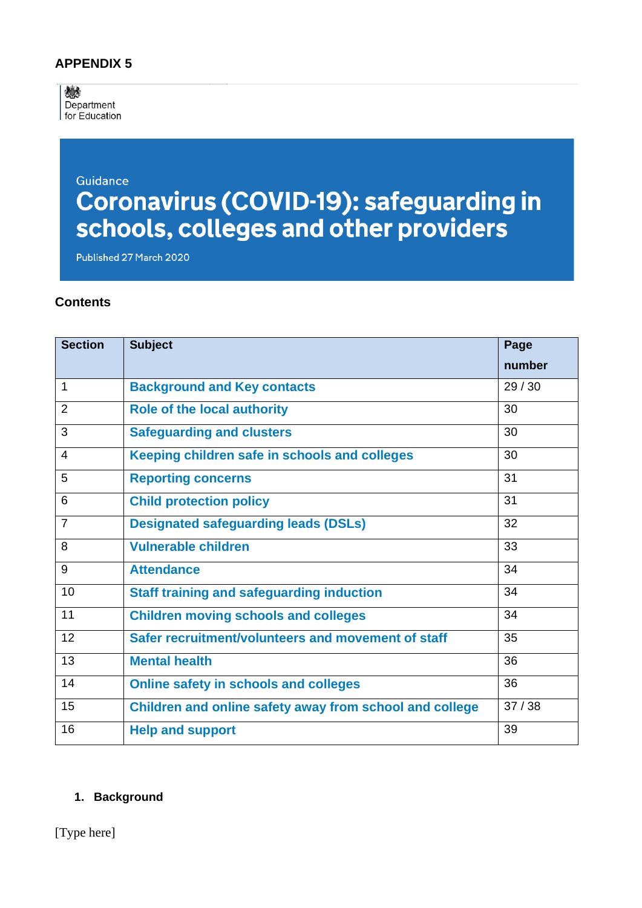## **APPENDIX 5**

婚 Department for Education

# Guidance **Coronavirus (COVID-19): safeguarding in<br>schools, colleges and other providers**

Published 27 March 2020

#### **Contents**

| <b>Section</b> | <b>Subject</b>                                          | Page   |
|----------------|---------------------------------------------------------|--------|
|                |                                                         | number |
| 1              | <b>Background and Key contacts</b>                      | 29/30  |
| $\overline{2}$ | <b>Role of the local authority</b>                      | 30     |
| 3              | <b>Safeguarding and clusters</b>                        | 30     |
| 4              | Keeping children safe in schools and colleges           | 30     |
| 5              | <b>Reporting concerns</b>                               | 31     |
| 6              | <b>Child protection policy</b>                          | 31     |
| $\overline{7}$ | <b>Designated safeguarding leads (DSLs)</b>             | 32     |
| 8              | <b>Vulnerable children</b>                              | 33     |
| 9              | <b>Attendance</b>                                       | 34     |
| 10             | <b>Staff training and safeguarding induction</b>        | 34     |
| 11             | <b>Children moving schools and colleges</b>             | 34     |
| 12             | Safer recruitment/volunteers and movement of staff      | 35     |
| 13             | <b>Mental health</b>                                    | 36     |
| 14             | <b>Online safety in schools and colleges</b>            | 36     |
| 15             | Children and online safety away from school and college | 37/38  |
| 16             | <b>Help and support</b>                                 | 39     |

#### **1. Background**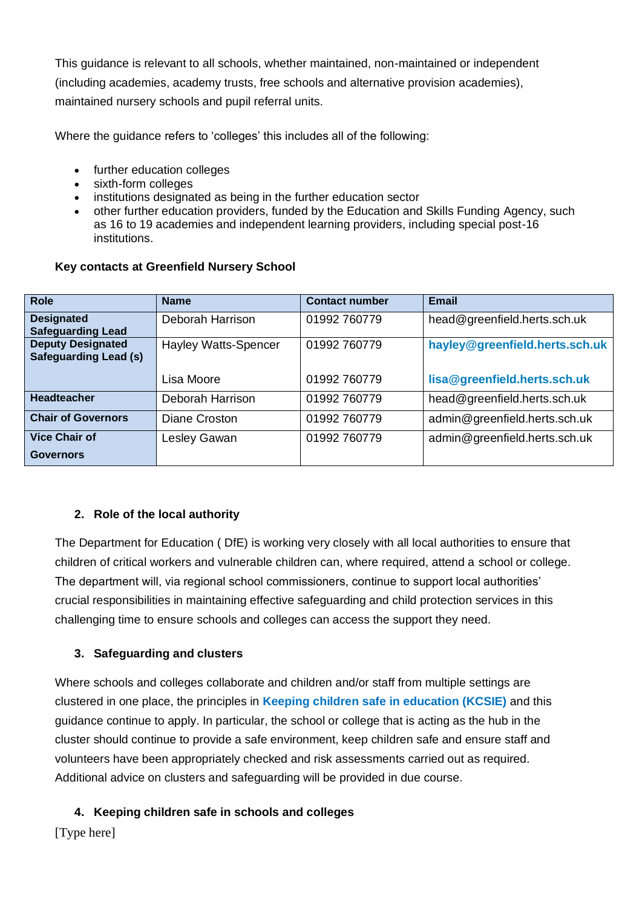This guidance is relevant to all schools, whether maintained, non-maintained or independent (including academies, academy trusts, free schools and alternative provision academies), maintained nursery schools and pupil referral units.

Where the guidance refers to 'colleges' this includes all of the following:

- further education colleges
- sixth-form colleges
- institutions designated as being in the further education sector
- other further education providers, funded by the Education and Skills Funding Agency, such as 16 to 19 academies and independent learning providers, including special post-16 institutions.

#### **Key contacts at Greenfield Nursery School**

| <b>Role</b>                                              | <b>Name</b>                 | <b>Contact number</b> | Email                          |
|----------------------------------------------------------|-----------------------------|-----------------------|--------------------------------|
| <b>Designated</b><br><b>Safeguarding Lead</b>            | Deborah Harrison            | 01992 760779          | head@greenfield.herts.sch.uk   |
| <b>Deputy Designated</b><br><b>Safeguarding Lead (s)</b> | <b>Hayley Watts-Spencer</b> | 01992 760779          | hayley@greenfield.herts.sch.uk |
|                                                          | Lisa Moore                  | 01992 760779          | lisa@greenfield.herts.sch.uk   |
| <b>Headteacher</b>                                       | Deborah Harrison            | 01992 760779          | head@greenfield.herts.sch.uk   |
| <b>Chair of Governors</b>                                | Diane Croston               | 01992 760779          | admin@greenfield.herts.sch.uk  |
| <b>Vice Chair of</b>                                     | Lesley Gawan                | 01992 760779          | admin@greenfield.herts.sch.uk  |
| <b>Governors</b>                                         |                             |                       |                                |

#### **2. Role of the local authority**

The Department for Education ( DfE) is working very closely with all local authorities to ensure that children of critical workers and vulnerable children can, where required, attend a school or college. The department will, via regional school commissioners, continue to support local authorities' crucial responsibilities in maintaining effective safeguarding and child protection services in this challenging time to ensure schools and colleges can access the support they need.

## **3. Safeguarding and clusters**

Where schools and colleges collaborate and children and/or staff from multiple settings are clustered in one place, the principles in **[Keeping children safe in education \(KCSIE\)](https://www.gov.uk/government/publications/keeping-children-safe-in-education--2)** and this guidance continue to apply. In particular, the school or college that is acting as the hub in the cluster should continue to provide a safe environment, keep children safe and ensure staff and volunteers have been appropriately checked and risk assessments carried out as required. Additional advice on clusters and safeguarding will be provided in due course.

## **4. Keeping children safe in schools and colleges**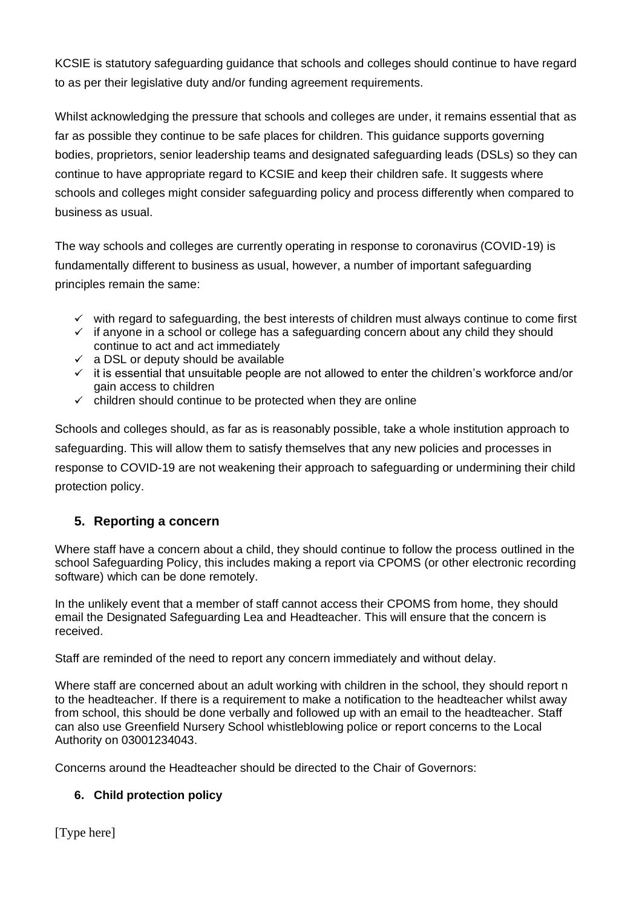KCSIE is statutory safeguarding guidance that schools and colleges should continue to have regard to as per their legislative duty and/or funding agreement requirements.

Whilst acknowledging the pressure that schools and colleges are under, it remains essential that as far as possible they continue to be safe places for children. This guidance supports governing bodies, proprietors, senior leadership teams and designated safeguarding leads (DSLs) so they can continue to have appropriate regard to KCSIE and keep their children safe. It suggests where schools and colleges might consider safeguarding policy and process differently when compared to business as usual.

The way schools and colleges are currently operating in response to coronavirus (COVID-19) is fundamentally different to business as usual, however, a number of important safeguarding principles remain the same:

- $\checkmark$  with regard to safeguarding, the best interests of children must always continue to come first
- $\checkmark$  if anyone in a school or college has a safeguarding concern about any child they should continue to act and act immediately
- $\checkmark$  a DSL or deputy should be available
- $\checkmark$  it is essential that unsuitable people are not allowed to enter the children's workforce and/or gain access to children
- $\checkmark$  children should continue to be protected when they are online

Schools and colleges should, as far as is reasonably possible, take a whole institution approach to safeguarding. This will allow them to satisfy themselves that any new policies and processes in response to COVID-19 are not weakening their approach to safeguarding or undermining their child protection policy.

## **5. Reporting a concern**

Where staff have a concern about a child, they should continue to follow the process outlined in the school Safeguarding Policy, this includes making a report via CPOMS (or other electronic recording software) which can be done remotely.

In the unlikely event that a member of staff cannot access their CPOMS from home, they should email the Designated Safeguarding Lea and Headteacher. This will ensure that the concern is received.

Staff are reminded of the need to report any concern immediately and without delay.

Where staff are concerned about an adult working with children in the school, they should report n to the headteacher. If there is a requirement to make a notification to the headteacher whilst away from school, this should be done verbally and followed up with an email to the headteacher. Staff can also use Greenfield Nursery School whistleblowing police or report concerns to the Local Authority on 03001234043.

Concerns around the Headteacher should be directed to the Chair of Governors:

## **6. Child protection policy**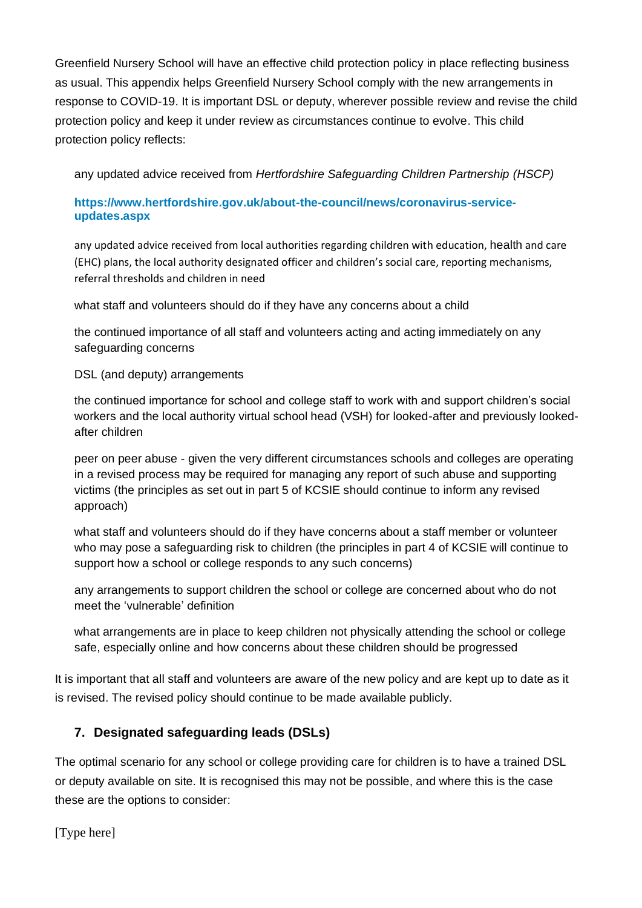Greenfield Nursery School will have an effective child protection policy in place reflecting business as usual. This appendix helps Greenfield Nursery School comply with the new arrangements in response to COVID-19. It is important DSL or deputy, wherever possible review and revise the child protection policy and keep it under review as circumstances continue to evolve. This child protection policy reflects:

any updated advice received from *Hertfordshire Safeguarding Children Partnership (HSCP)*

#### **[https://www.hertfordshire.gov.uk/about-the-council/news/coronavirus-service](https://www.hertfordshire.gov.uk/about-the-council/news/coronavirus-service-updates.aspx)[updates.aspx](https://www.hertfordshire.gov.uk/about-the-council/news/coronavirus-service-updates.aspx)**

any updated advice received from local authorities regarding children with education, [health](https://www.hertfordshire.gov.uk/about-the-council/news/coronavirus-service-updates.aspx) and care (EHC) plans, the local authority designated officer and children's social care, reporting mechanisms, referral thresholds and children in need

what staff and volunteers should do if they have any concerns about a child

the continued importance of all staff and volunteers acting and acting immediately on any safeguarding concerns

DSL (and deputy) arrangements

the continued importance for school and college staff to work with and support children's social workers and the local authority virtual school head (VSH) for looked-after and previously lookedafter children

peer on peer abuse - given the very different circumstances schools and colleges are operating in a revised process may be required for managing any report of such abuse and supporting victims (the principles as set out in part 5 of KCSIE should continue to inform any revised approach)

what staff and volunteers should do if they have concerns about a staff member or volunteer who may pose a safeguarding risk to children (the principles in part 4 of KCSIE will continue to support how a school or college responds to any such concerns)

any arrangements to support children the school or college are concerned about who do not meet the 'vulnerable' definition

what arrangements are in place to keep children not physically attending the school or college safe, especially online and how concerns about these children should be progressed

It is important that all staff and volunteers are aware of the new policy and are kept up to date as it is revised. The revised policy should continue to be made available publicly.

## **7. Designated safeguarding leads (DSLs)**

The optimal scenario for any school or college providing care for children is to have a trained DSL or deputy available on site. It is recognised this may not be possible, and where this is the case these are the options to consider: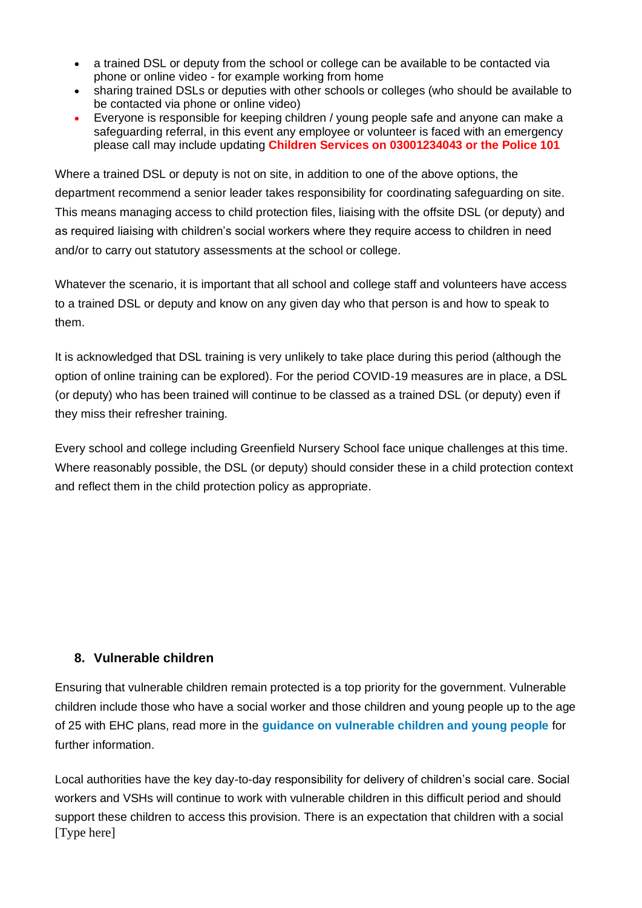- a trained DSL or deputy from the school or college can be available to be contacted via phone or online video - for example working from home
- sharing trained DSLs or deputies with other schools or colleges (who should be available to be contacted via phone or online video)
- Everyone is responsible for keeping children / young people safe and anyone can make a safeguarding referral, in this event any employee or volunteer is faced with an emergency please call may include updating **Children Services on 03001234043 or the Police 101**

Where a trained DSL or deputy is not on site, in addition to one of the above options, the department recommend a senior leader takes responsibility for coordinating safeguarding on site. This means managing access to child protection files, liaising with the offsite DSL (or deputy) and as required liaising with children's social workers where they require access to children in need and/or to carry out statutory assessments at the school or college.

Whatever the scenario, it is important that all school and college staff and volunteers have access to a trained DSL or deputy and know on any given day who that person is and how to speak to them.

It is acknowledged that DSL training is very unlikely to take place during this period (although the option of online training can be explored). For the period COVID-19 measures are in place, a DSL (or deputy) who has been trained will continue to be classed as a trained DSL (or deputy) even if they miss their refresher training.

Every school and college including Greenfield Nursery School face unique challenges at this time. Where reasonably possible, the DSL (or deputy) should consider these in a child protection context and reflect them in the child protection policy as appropriate.

## **8. Vulnerable children**

Ensuring that vulnerable children remain protected is a top priority for the government. Vulnerable children include those who have a social worker and those children and young people up to the age of 25 with EHC plans, read more in the **[guidance on vulnerable children and young people](https://www.gov.uk/government/publications/coronavirus-covid-19-guidance-on-vulnerable-children-and-young-people/coronavirus-covid-19-guidance-on-vulnerable-children-and-young-people)** for further information.

[Type here] Local authorities have the key day-to-day responsibility for delivery of children's social care. Social workers and VSHs will continue to work with vulnerable children in this difficult period and should support these children to access this provision. There is an expectation that children with a social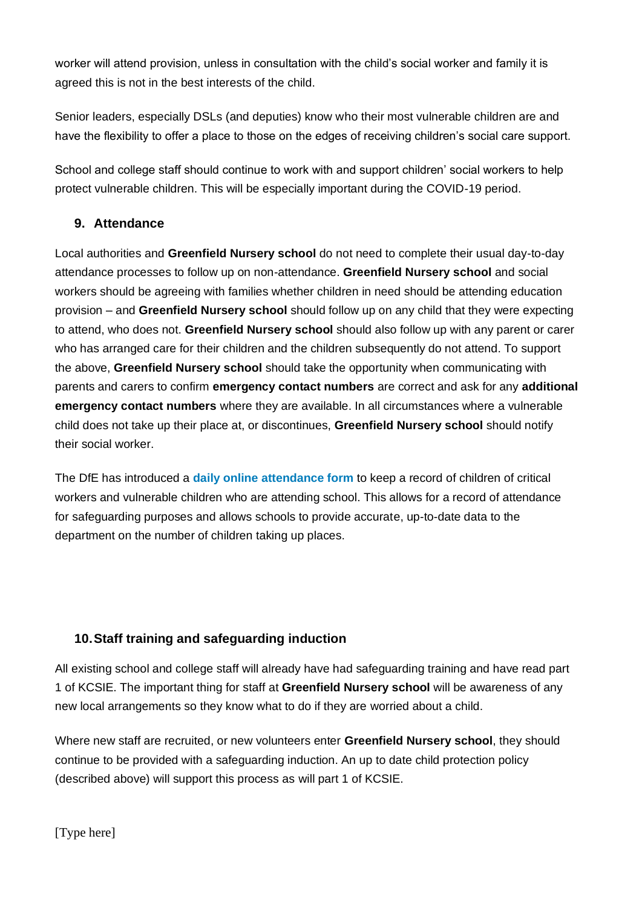worker will attend provision, unless in consultation with the child's social worker and family it is agreed this is not in the best interests of the child.

Senior leaders, especially DSLs (and deputies) know who their most vulnerable children are and have the flexibility to offer a place to those on the edges of receiving children's social care support.

School and college staff should continue to work with and support children' social workers to help protect vulnerable children. This will be especially important during the COVID-19 period.

## **9. Attendance**

Local authorities and **Greenfield Nursery school** do not need to complete their usual day-to-day attendance processes to follow up on non-attendance. **Greenfield Nursery school** and social workers should be agreeing with families whether children in need should be attending education provision – and **Greenfield Nursery school** should follow up on any child that they were expecting to attend, who does not. **Greenfield Nursery school** should also follow up with any parent or carer who has arranged care for their children and the children subsequently do not attend. To support the above, **Greenfield Nursery school** should take the opportunity when communicating with parents and carers to confirm **emergency contact numbers** are correct and ask for any **additional emergency contact numbers** where they are available. In all circumstances where a vulnerable child does not take up their place at, or discontinues, **Greenfield Nursery school** should notify their social worker.

The DfE has introduced a **[daily online attendance form](https://www.gov.uk/government/publications/coronavirus-covid-19-attendance-recording-for-educational-settings)** to keep a record of children of critical workers and vulnerable children who are attending school. This allows for a record of attendance for safeguarding purposes and allows schools to provide accurate, up-to-date data to the department on the number of children taking up places.

## **10.Staff training and safeguarding induction**

All existing school and college staff will already have had safeguarding training and have read part 1 of KCSIE. The important thing for staff at **Greenfield Nursery school** will be awareness of any new local arrangements so they know what to do if they are worried about a child.

Where new staff are recruited, or new volunteers enter **Greenfield Nursery school**, they should continue to be provided with a safeguarding induction. An up to date child protection policy (described above) will support this process as will part 1 of KCSIE.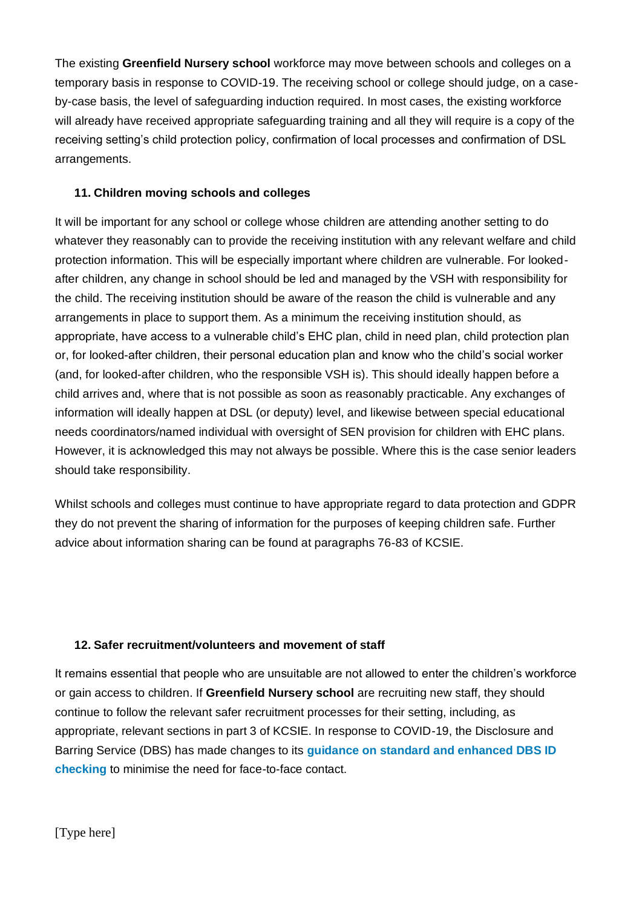The existing **Greenfield Nursery school** workforce may move between schools and colleges on a temporary basis in response to COVID-19. The receiving school or college should judge, on a caseby-case basis, the level of safeguarding induction required. In most cases, the existing workforce will already have received appropriate safeguarding training and all they will require is a copy of the receiving setting's child protection policy, confirmation of local processes and confirmation of DSL arrangements.

### **11. Children moving schools and colleges**

It will be important for any school or college whose children are attending another setting to do whatever they reasonably can to provide the receiving institution with any relevant welfare and child protection information. This will be especially important where children are vulnerable. For lookedafter children, any change in school should be led and managed by the VSH with responsibility for the child. The receiving institution should be aware of the reason the child is vulnerable and any arrangements in place to support them. As a minimum the receiving institution should, as appropriate, have access to a vulnerable child's EHC plan, child in need plan, child protection plan or, for looked-after children, their personal education plan and know who the child's social worker (and, for looked-after children, who the responsible VSH is). This should ideally happen before a child arrives and, where that is not possible as soon as reasonably practicable. Any exchanges of information will ideally happen at DSL (or deputy) level, and likewise between special educational needs coordinators/named individual with oversight of SEN provision for children with EHC plans. However, it is acknowledged this may not always be possible. Where this is the case senior leaders should take responsibility.

Whilst schools and colleges must continue to have appropriate regard to data protection and GDPR they do not prevent the sharing of information for the purposes of keeping children safe. Further advice about information sharing can be found at paragraphs 76-83 of KCSIE.

#### **12. Safer recruitment/volunteers and movement of staff**

It remains essential that people who are unsuitable are not allowed to enter the children's workforce or gain access to children. If **Greenfield Nursery school** are recruiting new staff, they should continue to follow the relevant safer recruitment processes for their setting, including, as appropriate, relevant sections in part 3 of KCSIE. In response to COVID-19, the Disclosure and Barring Service (DBS) has made changes to its **[guidance on standard and enhanced DBS ID](https://www.gov.uk/government/news/covid-19-changes-to-standard-and-enhanced-id-checking-guidelines)  [checking](https://www.gov.uk/government/news/covid-19-changes-to-standard-and-enhanced-id-checking-guidelines)** to minimise the need for face-to-face contact.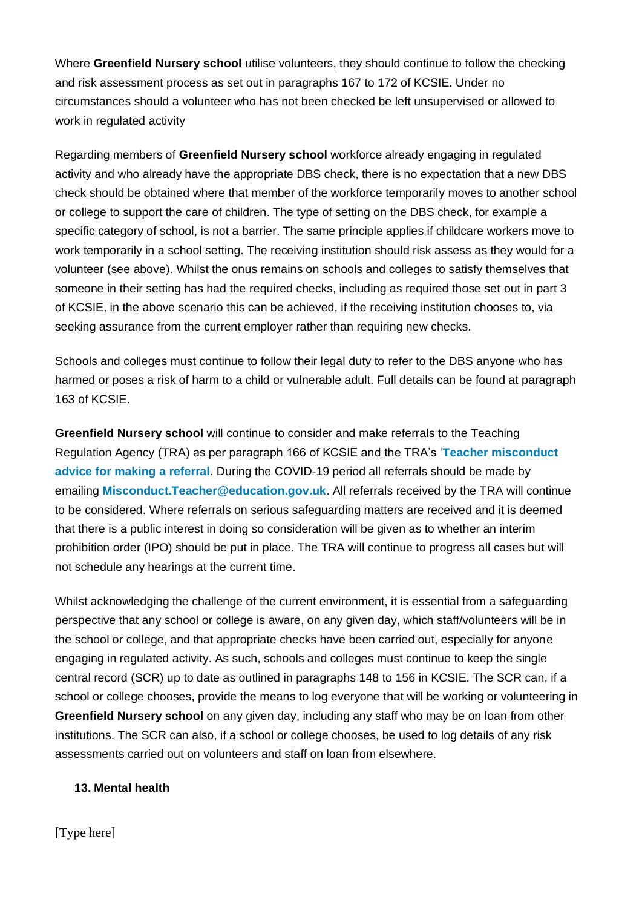Where **Greenfield Nursery school** utilise volunteers, they should continue to follow the checking and risk assessment process as set out in paragraphs 167 to 172 of KCSIE. Under no circumstances should a volunteer who has not been checked be left unsupervised or allowed to work in regulated activity

Regarding members of **Greenfield Nursery school** workforce already engaging in regulated activity and who already have the appropriate DBS check, there is no expectation that a new DBS check should be obtained where that member of the workforce temporarily moves to another school or college to support the care of children. The type of setting on the DBS check, for example a specific category of school, is not a barrier. The same principle applies if childcare workers move to work temporarily in a school setting. The receiving institution should risk assess as they would for a volunteer (see above). Whilst the onus remains on schools and colleges to satisfy themselves that someone in their setting has had the required checks, including as required those set out in part 3 of KCSIE, in the above scenario this can be achieved, if the receiving institution chooses to, via seeking assurance from the current employer rather than requiring new checks.

Schools and colleges must continue to follow their legal duty to refer to the DBS anyone who has harmed or poses a risk of harm to a child or vulnerable adult. Full details can be found at paragraph 163 of KCSIE.

**Greenfield Nursery school** will continue to consider and make referrals to the Teaching Regulation Agency (TRA) as per paragraph 166 of KCSIE and the TRA's '**[Teacher misconduct](https://www.gov.uk/guidance/teacher-misconduct-referring-a-case)  [advice for making a referral](https://www.gov.uk/guidance/teacher-misconduct-referring-a-case)**. During the COVID-19 period all referrals should be made by emailing **[Misconduct.Teacher@education.gov.uk](mailto:Misconduct.Teacher@education.gov.uk)**. All referrals received by the TRA will continue to be considered. Where referrals on serious safeguarding matters are received and it is deemed that there is a public interest in doing so consideration will be given as to whether an interim prohibition order (IPO) should be put in place. The TRA will continue to progress all cases but will not schedule any hearings at the current time.

Whilst acknowledging the challenge of the current environment, it is essential from a safeguarding perspective that any school or college is aware, on any given day, which staff/volunteers will be in the school or college, and that appropriate checks have been carried out, especially for anyone engaging in regulated activity. As such, schools and colleges must continue to keep the single central record (SCR) up to date as outlined in paragraphs 148 to 156 in KCSIE. The SCR can, if a school or college chooses, provide the means to log everyone that will be working or volunteering in **Greenfield Nursery school** on any given day, including any staff who may be on loan from other institutions. The SCR can also, if a school or college chooses, be used to log details of any risk assessments carried out on volunteers and staff on loan from elsewhere.

#### **13. Mental health**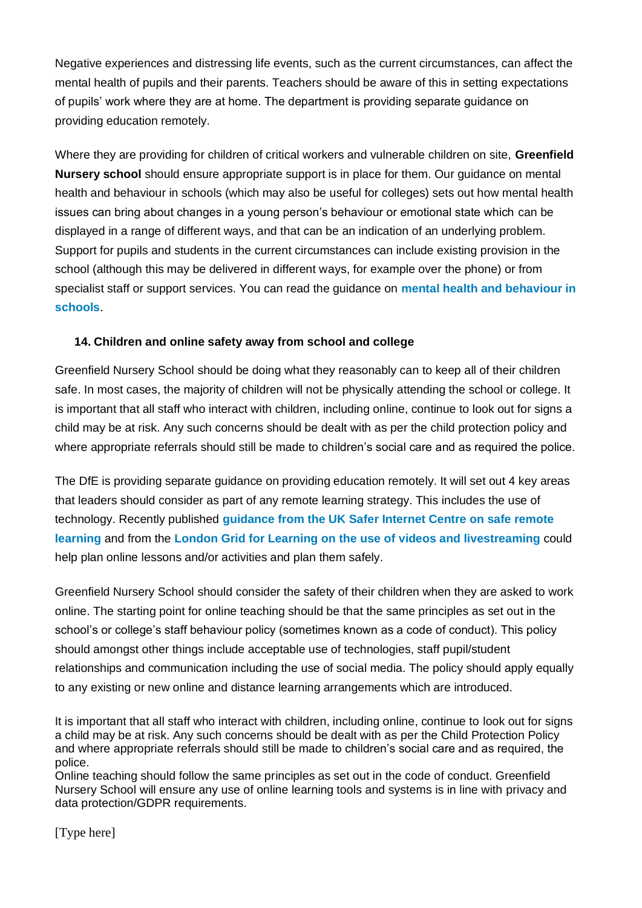Negative experiences and distressing life events, such as the current circumstances, can affect the mental health of pupils and their parents. Teachers should be aware of this in setting expectations of pupils' work where they are at home. The department is providing separate guidance on providing education remotely.

Where they are providing for children of critical workers and vulnerable children on site, **Greenfield Nursery school** should ensure appropriate support is in place for them. Our guidance on mental health and behaviour in schools (which may also be useful for colleges) sets out how mental health issues can bring about changes in a young person's behaviour or emotional state which can be displayed in a range of different ways, and that can be an indication of an underlying problem. Support for pupils and students in the current circumstances can include existing provision in the school (although this may be delivered in different ways, for example over the phone) or from specialist staff or support services. You can read the guidance on **[mental health and behaviour in](https://www.gov.uk/government/publications/mental-health-and-behaviour-in-schools--2)  [schools](https://www.gov.uk/government/publications/mental-health-and-behaviour-in-schools--2)**.

#### **14. Children and online safety away from school and college**

Greenfield Nursery School should be doing what they reasonably can to keep all of their children safe. In most cases, the majority of children will not be physically attending the school or college. It is important that all staff who interact with children, including online, continue to look out for signs a child may be at risk. Any such concerns should be dealt with as per the child protection policy and where appropriate referrals should still be made to children's social care and as required the police.

The DfE is providing separate guidance on providing education remotely. It will set out 4 key areas that leaders should consider as part of any remote learning strategy. This includes the use of technology. Recently published **[guidance from the UK Safer Internet Centre on safe remote](https://swgfl.org.uk/resources/safe-remote-learning/)  [learning](https://swgfl.org.uk/resources/safe-remote-learning/)** and from the **[London Grid for Learning on the use of videos and livestreaming](https://static.lgfl.net/LgflNet/downloads/digisafe/Safe-Lessons-by-Video-and-Livestream.pdf)** could help plan online lessons and/or activities and plan them safely.

Greenfield Nursery School should consider the safety of their children when they are asked to work online. The starting point for online teaching should be that the same principles as set out in the school's or college's staff behaviour policy (sometimes known as a code of conduct). This policy should amongst other things include acceptable use of technologies, staff pupil/student relationships and communication including the use of social media. The policy should apply equally to any existing or new online and distance learning arrangements which are introduced.

It is important that all staff who interact with children, including online, continue to look out for signs a child may be at risk. Any such concerns should be dealt with as per the Child Protection Policy and where appropriate referrals should still be made to children's social care and as required, the police.

Online teaching should follow the same principles as set out in the code of conduct. Greenfield Nursery School will ensure any use of online learning tools and systems is in line with privacy and data protection/GDPR requirements.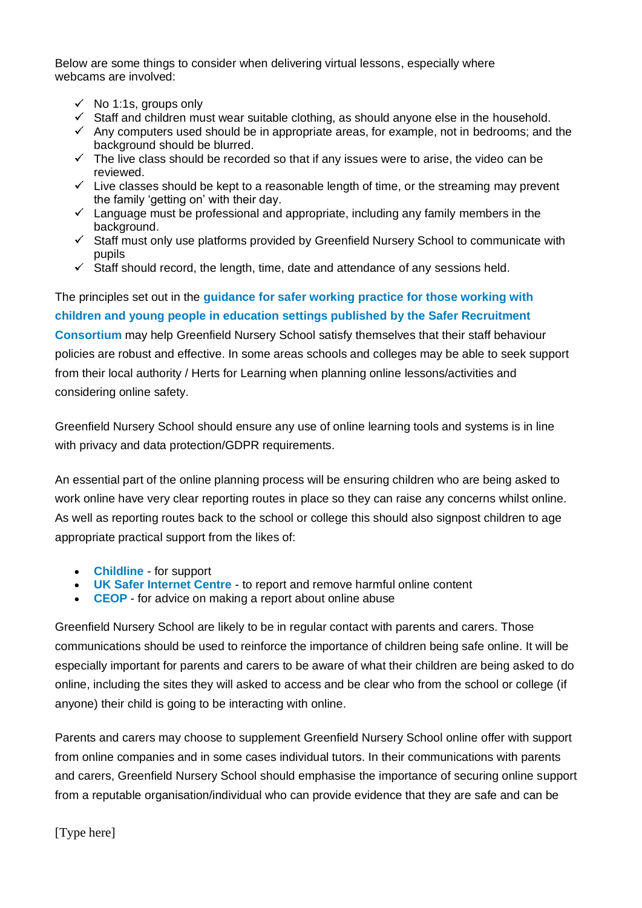Below are some things to consider when delivering virtual lessons, especially where webcams are involved:

- $\checkmark$  No 1:1s, groups only
- $\checkmark$  Staff and children must wear suitable clothing, as should anyone else in the household.
- $\checkmark$  Any computers used should be in appropriate areas, for example, not in bedrooms; and the background should be blurred.
- $\checkmark$  The live class should be recorded so that if any issues were to arise, the video can be reviewed.
- $\checkmark$  Live classes should be kept to a reasonable length of time, or the streaming may prevent the family 'getting on' with their day.
- $\checkmark$  Language must be professional and appropriate, including any family members in the background.
- $\checkmark$  Staff must only use platforms provided by Greenfield Nursery School to communicate with pupils
- $\checkmark$  Staff should record, the length, time, date and attendance of any sessions held.

The principles set out in the **[guidance for safer working practice for those working with](https://www.saferrecruitmentconsortium.org/)  [children and young people in education settings published by the Safer Recruitment](https://www.saferrecruitmentconsortium.org/)  [Consortium](https://www.saferrecruitmentconsortium.org/)** may help Greenfield Nursery School satisfy themselves that their staff behaviour policies are robust and effective. In some areas schools and colleges may be able to seek support from their local authority / Herts for Learning when planning online lessons/activities and considering online safety.

Greenfield Nursery School should ensure any use of online learning tools and systems is in line with privacy and data protection/GDPR requirements.

An essential part of the online planning process will be ensuring children who are being asked to work online have very clear reporting routes in place so they can raise any concerns whilst online. As well as reporting routes back to the school or college this should also signpost children to age appropriate practical support from the likes of:

- **[Childline](https://www.childline.org.uk/?utm_source=google&utm_medium=cpc&utm_campaign=UK_GO_S_B_BND_Grant_Childline_Information&utm_term=role_of_childline&gclsrc=aw.ds&&gclid=EAIaIQobChMIlfLRh-ez6AIVRrDtCh1N9QR2EAAYASAAEgLc-vD_BwE&gclsrc=aw.ds)** for support
- **[UK Safer Internet Centre](https://reportharmfulcontent.com/)** to report and remove harmful online content
- **[CEOP](https://www.ceop.police.uk/safety-centre/)** for advice on making a report about online abuse

Greenfield Nursery School are likely to be in regular contact with parents and carers. Those communications should be used to reinforce the importance of children being safe online. It will be especially important for parents and carers to be aware of what their children are being asked to do online, including the sites they will asked to access and be clear who from the school or college (if anyone) their child is going to be interacting with online.

Parents and carers may choose to supplement Greenfield Nursery School online offer with support from online companies and in some cases individual tutors. In their communications with parents and carers, Greenfield Nursery School should emphasise the importance of securing online support from a reputable organisation/individual who can provide evidence that they are safe and can be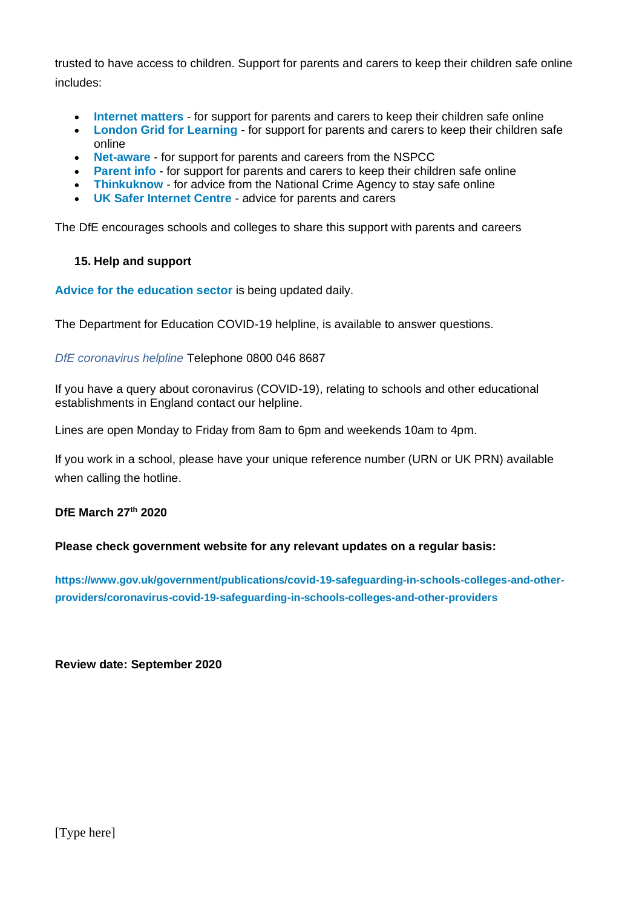trusted to have access to children. Support for parents and carers to keep their children safe online includes:

- **[Internet matters](https://www.internetmatters.org/?gclid=EAIaIQobChMIktuA5LWK2wIVRYXVCh2afg2aEAAYASAAEgIJ5vD_BwE)** for support for parents and carers to keep their children safe online
- **[London Grid for Learning](http://www.lgfl.net/online-safety/)** for support for parents and carers to keep their children safe online
- **[Net-aware](https://www.net-aware.org.uk/)** for support for parents and careers from the NSPCC
- **[Parent info](https://parentinfo.org/)** for support for parents and carers to keep their children safe online
- **[Thinkuknow](http://www.thinkuknow.co.uk/)** for advice from the National Crime Agency to stay safe online
- **[UK Safer Internet Centre](https://www.saferinternet.org.uk/advice-centre/parents-and-carers)** advice for parents and carers

The DfE encourages schools and colleges to share this support with parents and careers

#### **15. Help and support**

**[Advice for the education sector](https://www.gov.uk/government/collections/coronavirus-covid-19-guidance-for-schools-and-other-educational-settings)** is being updated daily.

The Department for Education COVID-19 helpline, is available to answer questions.

*DfE coronavirus helpline* Telephone 0800 046 8687

If you have a query about coronavirus (COVID-19), relating to schools and other educational establishments in England contact our helpline.

Lines are open Monday to Friday from 8am to 6pm and weekends 10am to 4pm.

If you work in a school, please have your unique reference number (URN or UK PRN) available when calling the hotline.

#### **DfE March 27th 2020**

**Please check government website for any relevant updates on a regular basis:**

**[https://www.gov.uk/government/publications/covid-19-safeguarding-in-schools-colleges-and-other](https://www.gov.uk/government/publications/covid-19-safeguarding-in-schools-colleges-and-other-providers/coronavirus-covid-19-safeguarding-in-schools-colleges-and-other-providers)[providers/coronavirus-covid-19-safeguarding-in-schools-colleges-and-other-providers](https://www.gov.uk/government/publications/covid-19-safeguarding-in-schools-colleges-and-other-providers/coronavirus-covid-19-safeguarding-in-schools-colleges-and-other-providers)**

**Review date: September 2020**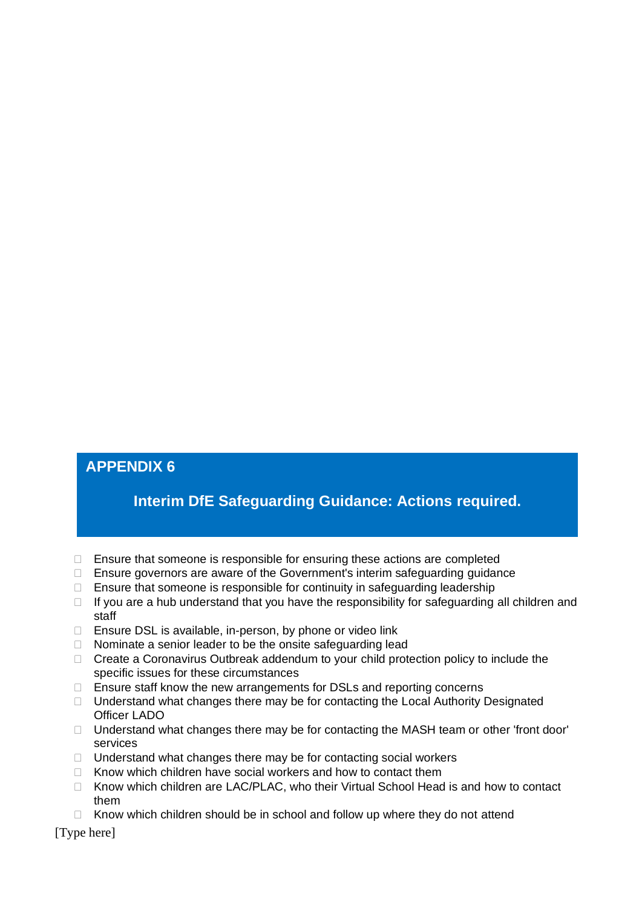## **APPENDIX 6**

# **Interim DfE Safeguarding Guidance: Actions required.**

- $\Box$  Ensure that someone is responsible for ensuring these actions are completed
- $\Box$  Ensure governors are aware of the Government's interim safeguarding guidance
- $\Box$  Ensure that someone is responsible for continuity in safeguarding leadership
- $\Box$  If you are a hub understand that you have the responsibility for safeguarding all children and staff
- □ Ensure DSL is available, in-person, by phone or video link
- $\Box$  Nominate a senior leader to be the onsite safeguarding lead
- □ Create a Coronavirus Outbreak addendum to your child protection policy to include the specific issues for these circumstances
- $\Box$  Ensure staff know the new arrangements for DSLs and reporting concerns
- $\Box$  Understand what changes there may be for contacting the Local Authority Designated Officer LADO
- $\Box$  Understand what changes there may be for contacting the MASH team or other 'front door' services
- $\Box$  Understand what changes there may be for contacting social workers
- $\Box$  Know which children have social workers and how to contact them
- $\Box$  Know which children are LAC/PLAC, who their Virtual School Head is and how to contact them
- $\Box$  Know which children should be in school and follow up where they do not attend